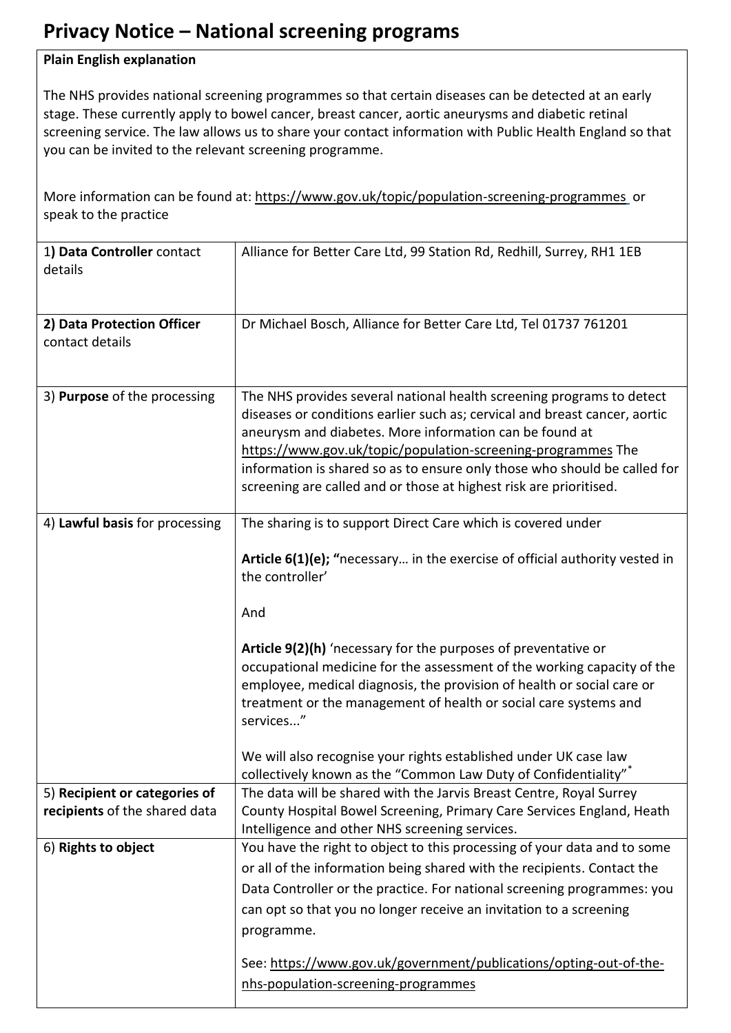## **Privacy Notice – National screening programs**

## **Plain English explanation**

The NHS provides national screening programmes so that certain diseases can be detected at an early stage. These currently apply to bowel cancer, breast cancer, aortic aneurysms and diabetic retinal screening service. The law allows us to share your contact information with Public Health England so that you can be invited to the relevant screening programme.

More information can be found at[: https://www.gov.uk/topic/population-screening-programmes](https://www.gov.uk/topic/population-screening-programmes) or speak to the practice

| 1) Data Controller contact<br>details                          | Alliance for Better Care Ltd, 99 Station Rd, Redhill, Surrey, RH1 1EB                                                                                                                                                                                                                                                                                                                                                             |
|----------------------------------------------------------------|-----------------------------------------------------------------------------------------------------------------------------------------------------------------------------------------------------------------------------------------------------------------------------------------------------------------------------------------------------------------------------------------------------------------------------------|
| 2) Data Protection Officer<br>contact details                  | Dr Michael Bosch, Alliance for Better Care Ltd, Tel 01737 761201                                                                                                                                                                                                                                                                                                                                                                  |
| 3) Purpose of the processing                                   | The NHS provides several national health screening programs to detect<br>diseases or conditions earlier such as; cervical and breast cancer, aortic<br>aneurysm and diabetes. More information can be found at<br>https://www.gov.uk/topic/population-screening-programmes The<br>information is shared so as to ensure only those who should be called for<br>screening are called and or those at highest risk are prioritised. |
| 4) Lawful basis for processing                                 | The sharing is to support Direct Care which is covered under<br>Article 6(1)(e); "necessary in the exercise of official authority vested in<br>the controller'<br>And                                                                                                                                                                                                                                                             |
|                                                                | Article 9(2)(h) 'necessary for the purposes of preventative or<br>occupational medicine for the assessment of the working capacity of the<br>employee, medical diagnosis, the provision of health or social care or<br>treatment or the management of health or social care systems and<br>services"                                                                                                                              |
|                                                                | We will also recognise your rights established under UK case law<br>collectively known as the "Common Law Duty of Confidentiality"*                                                                                                                                                                                                                                                                                               |
| 5) Recipient or categories of<br>recipients of the shared data | The data will be shared with the Jarvis Breast Centre, Royal Surrey<br>County Hospital Bowel Screening, Primary Care Services England, Heath<br>Intelligence and other NHS screening services.                                                                                                                                                                                                                                    |
| 6) Rights to object                                            | You have the right to object to this processing of your data and to some<br>or all of the information being shared with the recipients. Contact the<br>Data Controller or the practice. For national screening programmes: you<br>can opt so that you no longer receive an invitation to a screening<br>programme.                                                                                                                |
|                                                                | See: https://www.gov.uk/government/publications/opting-out-of-the-<br>nhs-population-screening-programmes                                                                                                                                                                                                                                                                                                                         |